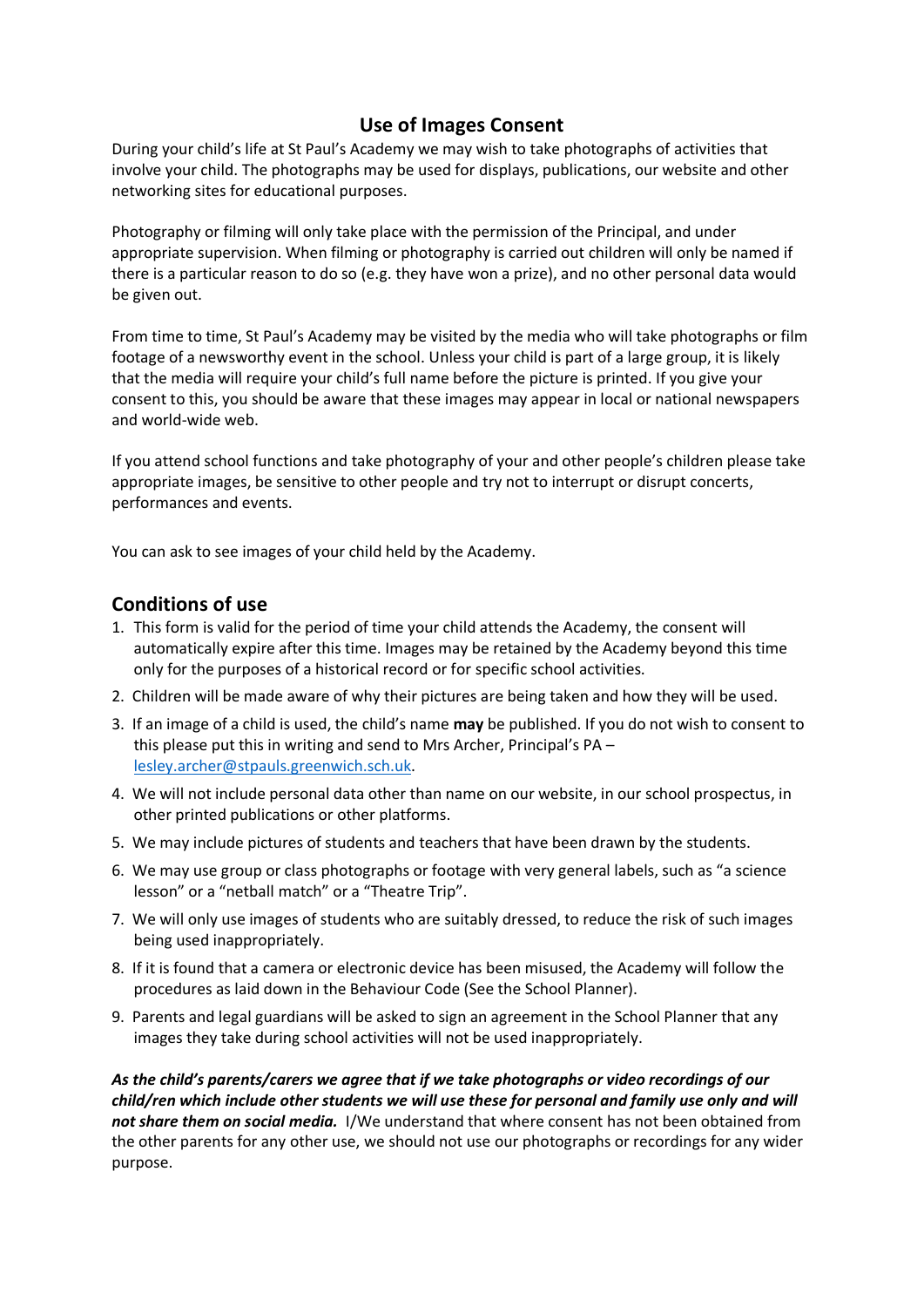## **Use of Images Consent**

During your child's life at St Paul's Academy we may wish to take photographs of activities that involve your child. The photographs may be used for displays, publications, our website and other networking sites for educational purposes.

Photography or filming will only take place with the permission of the Principal, and under appropriate supervision. When filming or photography is carried out children will only be named if there is a particular reason to do so (e.g. they have won a prize), and no other personal data would be given out.

From time to time, St Paul's Academy may be visited by the media who will take photographs or film footage of a newsworthy event in the school. Unless your child is part of a large group, it is likely that the media will require your child's full name before the picture is printed. If you give your consent to this, you should be aware that these images may appear in local or national newspapers and world-wide web.

If you attend school functions and take photography of your and other people's children please take appropriate images, be sensitive to other people and try not to interrupt or disrupt concerts, performances and events.

You can ask to see images of your child held by the Academy.

## **Conditions of use**

- 1. This form is valid for the period of time your child attends the Academy, the consent will automatically expire after this time. Images may be retained by the Academy beyond this time only for the purposes of a historical record or for specific school activities.
- 2. Children will be made aware of why their pictures are being taken and how they will be used.
- 3. If an image of a child is used, the child's name **may** be published. If you do not wish to consent to this please put this in writing and send to Mrs Archer, Principal's PA – [lesley.archer@stpauls.greenwich.sch.uk.](mailto:lesley.archer@stpauls.greenwich.sch.uk)
- 4. We will not include personal data other than name on our website, in our school prospectus, in other printed publications or other platforms.
- 5. We may include pictures of students and teachers that have been drawn by the students.
- 6. We may use group or class photographs or footage with very general labels, such as "a science lesson" or a "netball match" or a "Theatre Trip".
- 7. We will only use images of students who are suitably dressed, to reduce the risk of such images being used inappropriately.
- 8. If it is found that a camera or electronic device has been misused, the Academy will follow the procedures as laid down in the Behaviour Code (See the School Planner).
- 9. Parents and legal guardians will be asked to sign an agreement in the School Planner that any images they take during school activities will not be used inappropriately.

*As the child's parents/carers we agree that if we take photographs or video recordings of our child/ren which include other students we will use these for personal and family use only and will not share them on social media.* I/We understand that where consent has not been obtained from the other parents for any other use, we should not use our photographs or recordings for any wider purpose.